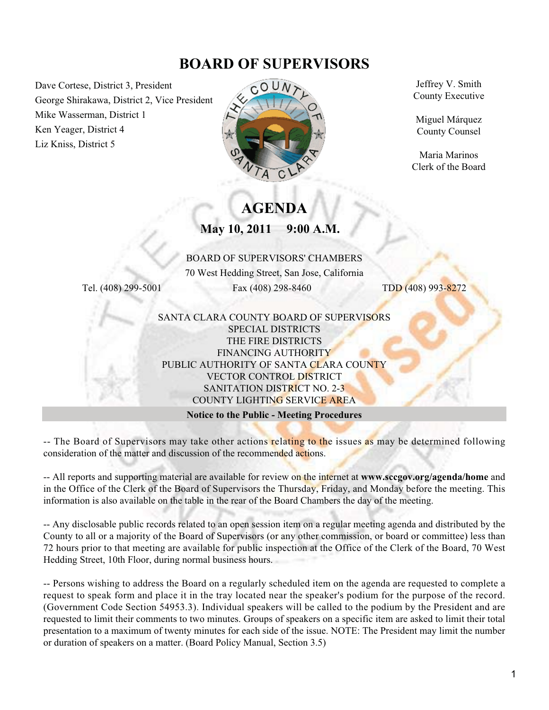# **BOARD OF SUPERVISORS**

Dave Cortese, District 3, President George Shirakawa, District 2, Vice President Mike Wasserman, District 1 Ken Yeager, District 4 Liz Kniss, District 5



Jeffrey V. Smith County Executive

Miguel Márquez County Counsel

Maria Marinos Clerk of the Board

# **AGENDA**

**May 10, 2011 9:00 A.M.**

#### BOARD OF SUPERVISORS' CHAMBERS

70 West Hedding Street, San Jose, California Tel. (408) 299-5001 Fax (408) 298-8460 TDD (408) 993-8272

#### SANTA CLARA COUNTY BOARD OF SUPERVISORS SPECIAL DISTRICTS THE FIRE DISTRICTS FINANCING AUTHORITY PUBLIC AUTHORITY OF SANTA CLARA COUNTY VECTOR CONTROL DISTRICT SANITATION DISTRICT NO. 2-3 COUNTY LIGHTING SERVICE AREA

#### **Notice to the Public - Meeting Procedures**

-- The Board of Supervisors may take other actions relating to the issues as may be determined following consideration of the matter and discussion of the recommended actions.

-- All reports and supporting material are available for review on the internet at **www.sccgov.org/agenda/home** and in the Office of the Clerk of the Board of Supervisors the Thursday, Friday, and Monday before the meeting. This information is also available on the table in the rear of the Board Chambers the day of the meeting.

-- Any disclosable public records related to an open session item on a regular meeting agenda and distributed by the County to all or a majority of the Board of Supervisors (or any other commission, or board or committee) less than 72 hours prior to that meeting are available for public inspection at the Office of the Clerk of the Board, 70 West Hedding Street, 10th Floor, during normal business hours.

-- Persons wishing to address the Board on a regularly scheduled item on the agenda are requested to complete a request to speak form and place it in the tray located near the speaker's podium for the purpose of the record. (Government Code Section 54953.3). Individual speakers will be called to the podium by the President and are requested to limit their comments to two minutes. Groups of speakers on a specific item are asked to limit their total presentation to a maximum of twenty minutes for each side of the issue. NOTE: The President may limit the number or duration of speakers on a matter. (Board Policy Manual, Section 3.5)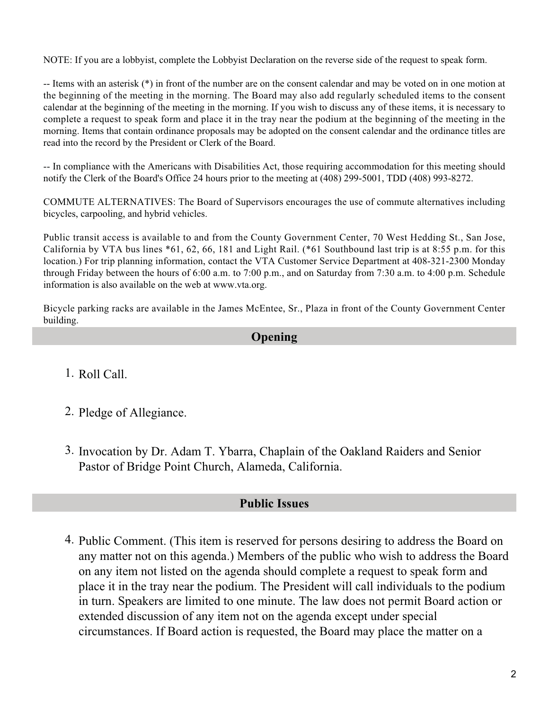NOTE: If you are a lobbyist, complete the Lobbyist Declaration on the reverse side of the request to speak form.

-- Items with an asterisk (\*) in front of the number are on the consent calendar and may be voted on in one motion at the beginning of the meeting in the morning. The Board may also add regularly scheduled items to the consent calendar at the beginning of the meeting in the morning. If you wish to discuss any of these items, it is necessary to complete a request to speak form and place it in the tray near the podium at the beginning of the meeting in the morning. Items that contain ordinance proposals may be adopted on the consent calendar and the ordinance titles are read into the record by the President or Clerk of the Board.

-- In compliance with the Americans with Disabilities Act, those requiring accommodation for this meeting should notify the Clerk of the Board's Office 24 hours prior to the meeting at (408) 299-5001, TDD (408) 993-8272.

COMMUTE ALTERNATIVES: The Board of Supervisors encourages the use of commute alternatives including bicycles, carpooling, and hybrid vehicles.

Public transit access is available to and from the County Government Center, 70 West Hedding St., San Jose, California by VTA bus lines \*61, 62, 66, 181 and Light Rail. (\*61 Southbound last trip is at 8:55 p.m. for this location.) For trip planning information, contact the VTA Customer Service Department at 408-321-2300 Monday through Friday between the hours of 6:00 a.m. to 7:00 p.m., and on Saturday from 7:30 a.m. to 4:00 p.m. Schedule information is also available on the web at www.vta.org.

Bicycle parking racks are available in the James McEntee, Sr., Plaza in front of the County Government Center building.

## **Opening**

- 1. Roll Call.
- 2. Pledge of Allegiance.
- 3. Invocation by Dr. Adam T. Ybarra, Chaplain of the Oakland Raiders and Senior Pastor of Bridge Point Church, Alameda, California.

#### **Public Issues**

4. Public Comment. (This item is reserved for persons desiring to address the Board on any matter not on this agenda.) Members of the public who wish to address the Board on any item not listed on the agenda should complete a request to speak form and place it in the tray near the podium. The President will call individuals to the podium in turn. Speakers are limited to one minute. The law does not permit Board action or extended discussion of any item not on the agenda except under special circumstances. If Board action is requested, the Board may place the matter on a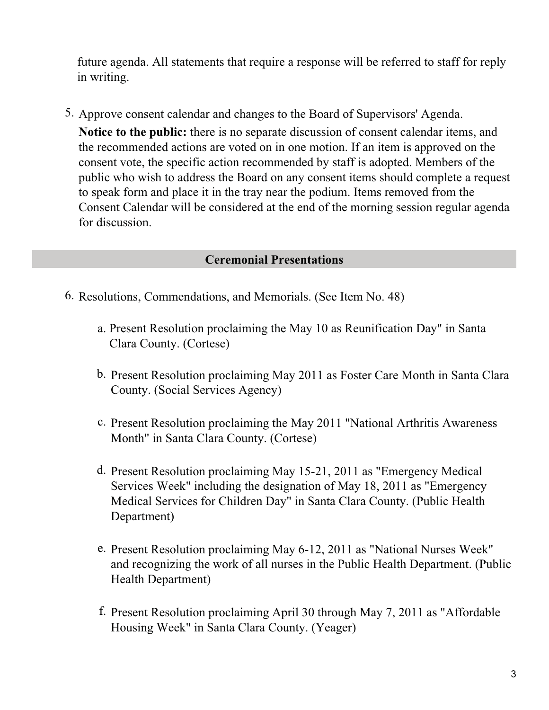future agenda. All statements that require a response will be referred to staff for reply in writing.

5. Approve consent calendar and changes to the Board of Supervisors' Agenda.

**Notice to the public:** there is no separate discussion of consent calendar items, and the recommended actions are voted on in one motion. If an item is approved on the consent vote, the specific action recommended by staff is adopted. Members of the public who wish to address the Board on any consent items should complete a request to speak form and place it in the tray near the podium. Items removed from the Consent Calendar will be considered at the end of the morning session regular agenda for discussion.

# **Ceremonial Presentations**

- 6. Resolutions, Commendations, and Memorials. (See Item No. 48)
	- a. Present Resolution proclaiming the May 10 as Reunification Day" in Santa Clara County. (Cortese)
	- b. Present Resolution proclaiming May 2011 as Foster Care Month in Santa Clara County. (Social Services Agency)
	- c. Present Resolution proclaiming the May 2011 "National Arthritis Awareness Month" in Santa Clara County. (Cortese)
	- d. Present Resolution proclaiming May 15-21, 2011 as "Emergency Medical Services Week" including the designation of May 18, 2011 as "Emergency Medical Services for Children Day" in Santa Clara County. (Public Health Department)
	- e. Present Resolution proclaiming May 6-12, 2011 as "National Nurses Week" and recognizing the work of all nurses in the Public Health Department. (Public Health Department)
	- f. Present Resolution proclaiming April 30 through May 7, 2011 as "Affordable Housing Week" in Santa Clara County. (Yeager)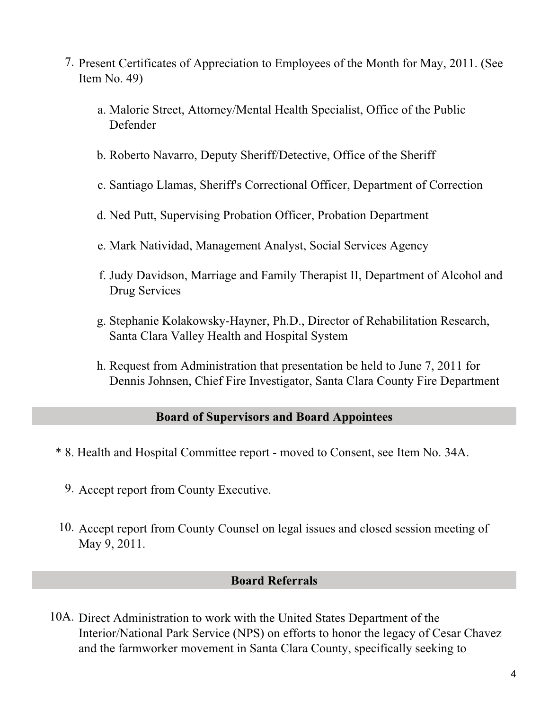- 7. Present Certificates of Appreciation to Employees of the Month for May, 2011. (See Item No. 49)
	- Malorie Street, Attorney/Mental Health Specialist, Office of the Public a. Defender
	- b. Roberto Navarro, Deputy Sheriff/Detective, Office of the Sheriff
	- c. Santiago Llamas, Sheriff's Correctional Officer, Department of Correction
	- d. Ned Putt, Supervising Probation Officer, Probation Department
	- e. Mark Natividad, Management Analyst, Social Services Agency
	- f. Judy Davidson, Marriage and Family Therapist II, Department of Alcohol and Drug Services
	- g. Stephanie Kolakowsky-Hayner, Ph.D., Director of Rehabilitation Research, Santa Clara Valley Health and Hospital System
	- h. Request from Administration that presentation be held to June 7, 2011 for Dennis Johnsen, Chief Fire Investigator, Santa Clara County Fire Department

## **Board of Supervisors and Board Appointees**

- \* 8. Health and Hospital Committee report moved to Consent, see Item No. 34A.
	- 9. Accept report from County Executive.
- 10. Accept report from County Counsel on legal issues and closed session meeting of May 9, 2011.

#### **Board Referrals**

10A. Direct Administration to work with the United States Department of the Interior/National Park Service (NPS) on efforts to honor the legacy of Cesar Chavez and the farmworker movement in Santa Clara County, specifically seeking to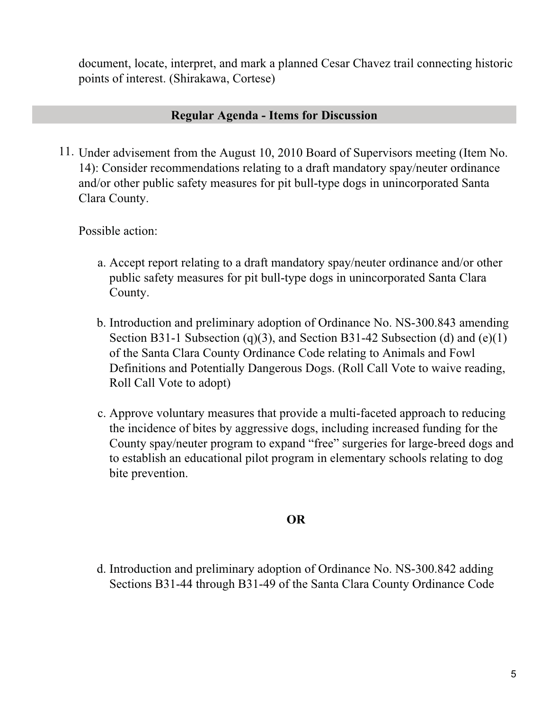document, locate, interpret, and mark a planned Cesar Chavez trail connecting historic points of interest. (Shirakawa, Cortese)

# **Regular Agenda - Items for Discussion**

11. Under advisement from the August 10, 2010 Board of Supervisors meeting (Item No. 14): Consider recommendations relating to a draft mandatory spay/neuter ordinance and/or other public safety measures for pit bull-type dogs in unincorporated Santa Clara County.

Possible action:

- Accept report relating to a draft mandatory spay/neuter ordinance and/or other a. public safety measures for pit bull-type dogs in unincorporated Santa Clara County.
- b. Introduction and preliminary adoption of Ordinance No. NS-300.843 amending Section B31-1 Subsection (q)(3), and Section B31-42 Subsection (d) and (e)(1) of the Santa Clara County Ordinance Code relating to Animals and Fowl Definitions and Potentially Dangerous Dogs. (Roll Call Vote to waive reading, Roll Call Vote to adopt)
- c. Approve voluntary measures that provide a multi-faceted approach to reducing the incidence of bites by aggressive dogs, including increased funding for the County spay/neuter program to expand "free" surgeries for large-breed dogs and to establish an educational pilot program in elementary schools relating to dog bite prevention.

# **OR**

d. Introduction and preliminary adoption of Ordinance No. NS-300.842 adding Sections B31-44 through B31-49 of the Santa Clara County Ordinance Code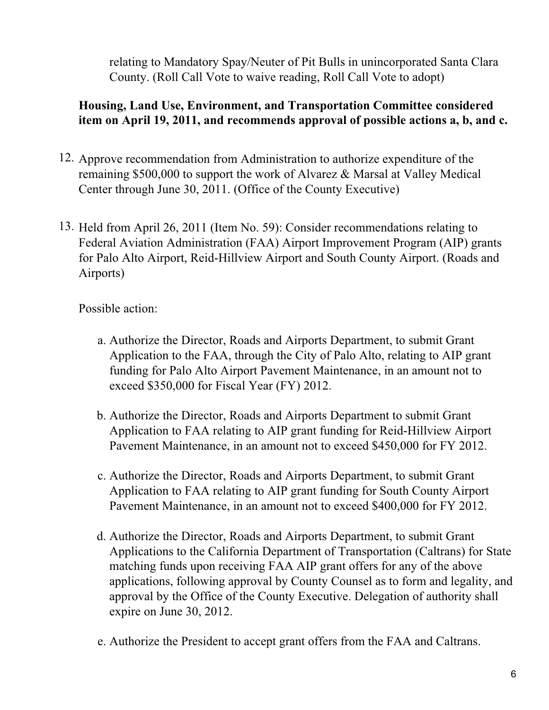relating to Mandatory Spay/Neuter of Pit Bulls in unincorporated Santa Clara County. (Roll Call Vote to waive reading, Roll Call Vote to adopt)

# **Housing, Land Use, Environment, and Transportation Committee considered item on April 19, 2011, and recommends approval of possible actions a, b, and c.**

- 12. Approve recommendation from Administration to authorize expenditure of the remaining \$500,000 to support the work of Alvarez & Marsal at Valley Medical Center through June 30, 2011. (Office of the County Executive)
- 13. Held from April 26, 2011 (Item No. 59): Consider recommendations relating to Federal Aviation Administration (FAA) Airport Improvement Program (AIP) grants for Palo Alto Airport, Reid-Hillview Airport and South County Airport. (Roads and Airports)

- Authorize the Director, Roads and Airports Department, to submit Grant a. Application to the FAA, through the City of Palo Alto, relating to AIP grant funding for Palo Alto Airport Pavement Maintenance, in an amount not to exceed \$350,000 for Fiscal Year (FY) 2012.
- b. Authorize the Director, Roads and Airports Department to submit Grant Application to FAA relating to AIP grant funding for Reid-Hillview Airport Pavement Maintenance, in an amount not to exceed \$450,000 for FY 2012.
- c. Authorize the Director, Roads and Airports Department, to submit Grant Application to FAA relating to AIP grant funding for South County Airport Pavement Maintenance, in an amount not to exceed \$400,000 for FY 2012.
- d. Authorize the Director, Roads and Airports Department, to submit Grant Applications to the California Department of Transportation (Caltrans) for State matching funds upon receiving FAA AIP grant offers for any of the above applications, following approval by County Counsel as to form and legality, and approval by the Office of the County Executive. Delegation of authority shall expire on June 30, 2012.
- e. Authorize the President to accept grant offers from the FAA and Caltrans.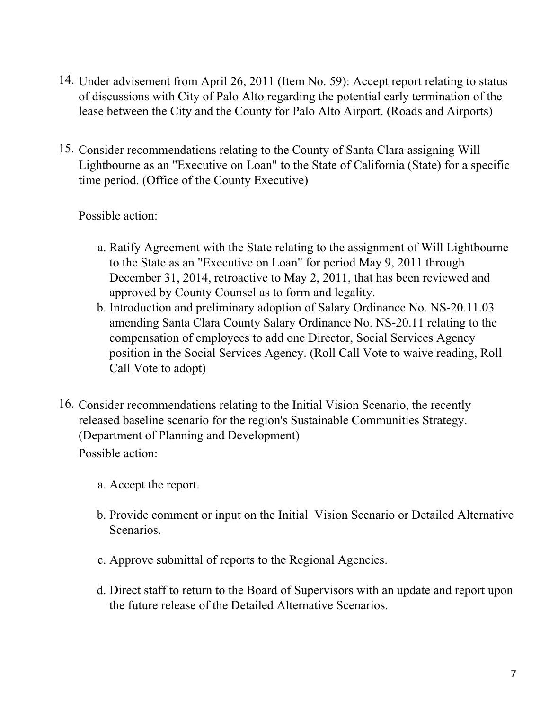- 14. Under advisement from April 26, 2011 (Item No. 59): Accept report relating to status of discussions with City of Palo Alto regarding the potential early termination of the lease between the City and the County for Palo Alto Airport. (Roads and Airports)
- 15. Consider recommendations relating to the County of Santa Clara assigning Will Lightbourne as an "Executive on Loan" to the State of California (State) for a specific time period. (Office of the County Executive)

- a. Ratify Agreement with the State relating to the assignment of Will Lightbourne to the State as an "Executive on Loan" for period May 9, 2011 through December 31, 2014, retroactive to May 2, 2011, that has been reviewed and approved by County Counsel as to form and legality.
- b. Introduction and preliminary adoption of Salary Ordinance No. NS-20.11.03 amending Santa Clara County Salary Ordinance No. NS-20.11 relating to the compensation of employees to add one Director, Social Services Agency position in the Social Services Agency. (Roll Call Vote to waive reading, Roll Call Vote to adopt)
- 16. Consider recommendations relating to the Initial Vision Scenario, the recently released baseline scenario for the region's Sustainable Communities Strategy. (Department of Planning and Development) Possible action:
	- a. Accept the report.
	- b. Provide comment or input on the Initial Vision Scenario or Detailed Alternative Scenarios.
	- c. Approve submittal of reports to the Regional Agencies.
	- d. Direct staff to return to the Board of Supervisors with an update and report upon the future release of the Detailed Alternative Scenarios.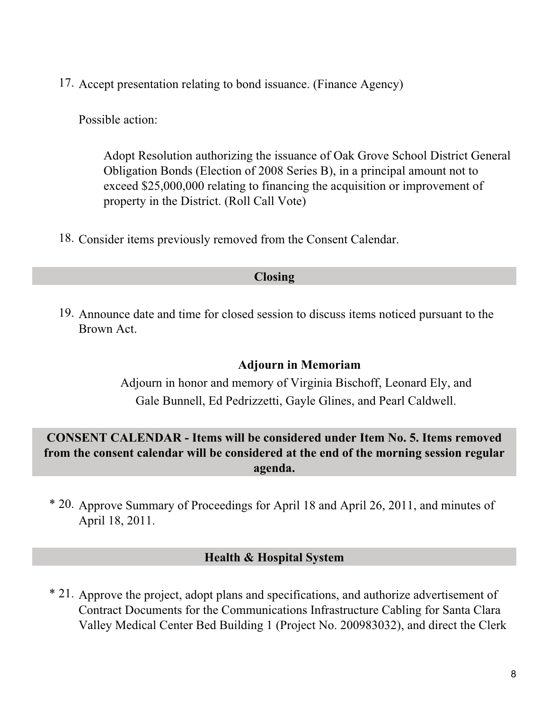17. Accept presentation relating to bond issuance. (Finance Agency)

Possible action:

Adopt Resolution authorizing the issuance of Oak Grove School District General Obligation Bonds (Election of 2008 Series B), in a principal amount not to exceed \$25,000,000 relating to financing the acquisition or improvement of property in the District. (Roll Call Vote)

18. Consider items previously removed from the Consent Calendar.

#### **Closing**

19. Announce date and time for closed session to discuss items noticed pursuant to the Brown Act.

#### . **Adjourn in Memoriam**

Adjourn in honor and memory of Virginia Bischoff, Leonard Ely, and Gale Bunnell, Ed Pedrizzetti, Gayle Glines, and Pearl Caldwell.

# **CONSENT CALENDAR - Items will be considered under Item No. 5. Items removed from the consent calendar will be considered at the end of the morning session regular agenda.**

\* 20. Approve Summary of Proceedings for April 18 and April 26, 2011, and minutes of April 18, 2011.

#### **Health & Hospital System**

\* 21. Approve the project, adopt plans and specifications, and authorize advertisement of Contract Documents for the Communications Infrastructure Cabling for Santa Clara Valley Medical Center Bed Building 1 (Project No. 200983032), and direct the Clerk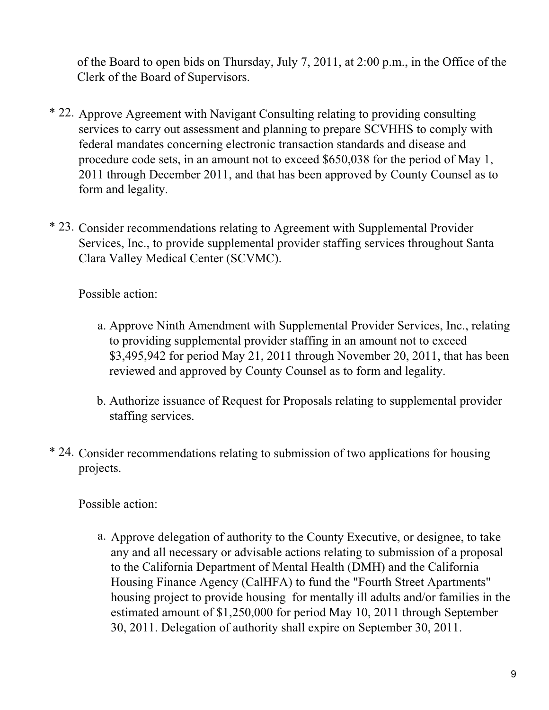of the Board to open bids on Thursday, July 7, 2011, at 2:00 p.m., in the Office of the Clerk of the Board of Supervisors.

- \* 22. Approve Agreement with Navigant Consulting relating to providing consulting services to carry out assessment and planning to prepare SCVHHS to comply with federal mandates concerning electronic transaction standards and disease and procedure code sets, in an amount not to exceed \$650,038 for the period of May 1, 2011 through December 2011, and that has been approved by County Counsel as to form and legality.
- \* 23. Consider recommendations relating to Agreement with Supplemental Provider Services, Inc., to provide supplemental provider staffing services throughout Santa Clara Valley Medical Center (SCVMC).

Possible action:

- a. Approve Ninth Amendment with Supplemental Provider Services, Inc., relating to providing supplemental provider staffing in an amount not to exceed \$3,495,942 for period May 21, 2011 through November 20, 2011, that has been reviewed and approved by County Counsel as to form and legality.
- b. Authorize issuance of Request for Proposals relating to supplemental provider staffing services.
- \* 24. Consider recommendations relating to submission of two applications for housing projects.

Possible action:

a. Approve delegation of authority to the County Executive, or designee, to take any and all necessary or advisable actions relating to submission of a proposal to the California Department of Mental Health (DMH) and the California Housing Finance Agency (CalHFA) to fund the "Fourth Street Apartments" housing project to provide housing for mentally ill adults and/or families in the estimated amount of \$1,250,000 for period May 10, 2011 through September 30, 2011. Delegation of authority shall expire on September 30, 2011.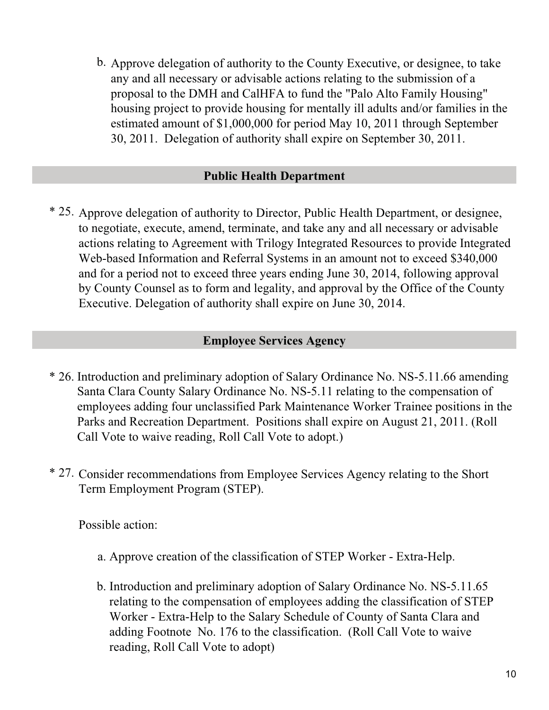Approve delegation of authority to the County Executive, or designee, to take b. any and all necessary or advisable actions relating to the submission of a proposal to the DMH and CalHFA to fund the "Palo Alto Family Housing" housing project to provide housing for mentally ill adults and/or families in the estimated amount of \$1,000,000 for period May 10, 2011 through September 30, 2011. Delegation of authority shall expire on September 30, 2011.

## **Public Health Department**

\* 25. Approve delegation of authority to Director, Public Health Department, or designee, to negotiate, execute, amend, terminate, and take any and all necessary or advisable actions relating to Agreement with Trilogy Integrated Resources to provide Integrated Web-based Information and Referral Systems in an amount not to exceed \$340,000 and for a period not to exceed three years ending June 30, 2014, following approval by County Counsel as to form and legality, and approval by the Office of the County Executive. Delegation of authority shall expire on June 30, 2014.

#### **Employee Services Agency**

- \* 26. Introduction and preliminary adoption of Salary Ordinance No. NS-5.11.66 amending Santa Clara County Salary Ordinance No. NS-5.11 relating to the compensation of employees adding four unclassified Park Maintenance Worker Trainee positions in the Parks and Recreation Department. Positions shall expire on August 21, 2011. (Roll Call Vote to waive reading, Roll Call Vote to adopt.)
- \* 27. Consider recommendations from Employee Services Agency relating to the Short Term Employment Program (STEP).

- a. Approve creation of the classification of STEP Worker Extra-Help.
- b. Introduction and preliminary adoption of Salary Ordinance No. NS-5.11.65 relating to the compensation of employees adding the classification of STEP Worker - Extra-Help to the Salary Schedule of County of Santa Clara and adding Footnote No. 176 to the classification. (Roll Call Vote to waive reading, Roll Call Vote to adopt)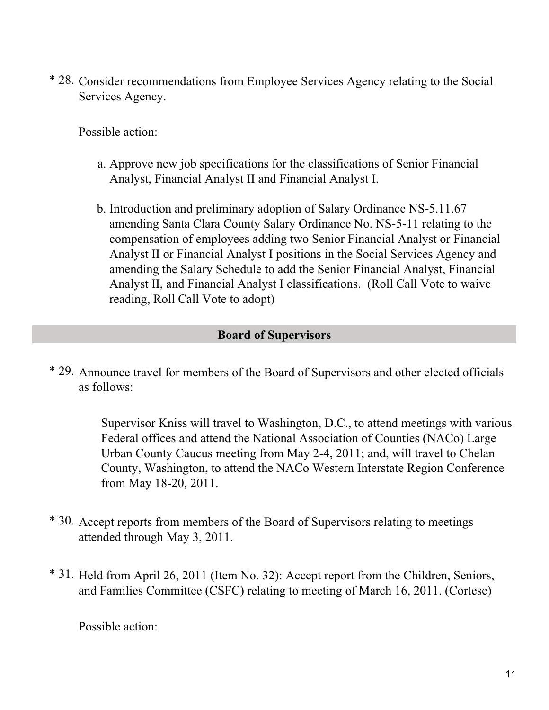\* 28. Consider recommendations from Employee Services Agency relating to the Social Services Agency.

Possible action:

- a. Approve new job specifications for the classifications of Senior Financial Analyst, Financial Analyst II and Financial Analyst I.
- b. Introduction and preliminary adoption of Salary Ordinance NS-5.11.67 amending Santa Clara County Salary Ordinance No. NS-5-11 relating to the compensation of employees adding two Senior Financial Analyst or Financial Analyst II or Financial Analyst I positions in the Social Services Agency and amending the Salary Schedule to add the Senior Financial Analyst, Financial Analyst II, and Financial Analyst I classifications. (Roll Call Vote to waive reading, Roll Call Vote to adopt)

# **Board of Supervisors**

\* 29. Announce travel for members of the Board of Supervisors and other elected officials as follows:

> Supervisor Kniss will travel to Washington, D.C., to attend meetings with various Federal offices and attend the National Association of Counties (NACo) Large Urban County Caucus meeting from May 2-4, 2011; and, will travel to Chelan County, Washington, to attend the NACo Western Interstate Region Conference from May 18-20, 2011.

- \* 30. Accept reports from members of the Board of Supervisors relating to meetings attended through May 3, 2011.
- \* 31. Held from April 26, 2011 (Item No. 32): Accept report from the Children, Seniors, and Families Committee (CSFC) relating to meeting of March 16, 2011. (Cortese)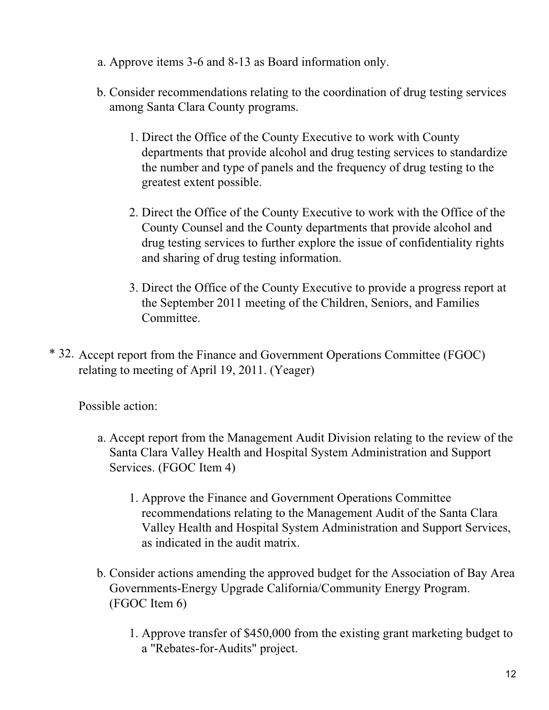- a. Approve items 3-6 and 8-13 as Board information only.
- b. Consider recommendations relating to the coordination of drug testing services among Santa Clara County programs.
	- 1. Direct the Office of the County Executive to work with County departments that provide alcohol and drug testing services to standardize the number and type of panels and the frequency of drug testing to the greatest extent possible.
	- 2. Direct the Office of the County Executive to work with the Office of the County Counsel and the County departments that provide alcohol and drug testing services to further explore the issue of confidentiality rights and sharing of drug testing information.
	- Direct the Office of the County Executive to provide a progress report at 3. the September 2011 meeting of the Children, Seniors, and Families Committee.
- \* 32. Accept report from the Finance and Government Operations Committee (FGOC) relating to meeting of April 19, 2011. (Yeager)

- Accept report from the Management Audit Division relating to the review of the a. Santa Clara Valley Health and Hospital System Administration and Support Services. (FGOC Item 4)
	- 1. Approve the Finance and Government Operations Committee recommendations relating to the Management Audit of the Santa Clara Valley Health and Hospital System Administration and Support Services, as indicated in the audit matrix.
- b. Consider actions amending the approved budget for the Association of Bay Area Governments-Energy Upgrade California/Community Energy Program. (FGOC Item 6)
	- 1. Approve transfer of \$450,000 from the existing grant marketing budget to a "Rebates-for-Audits" project.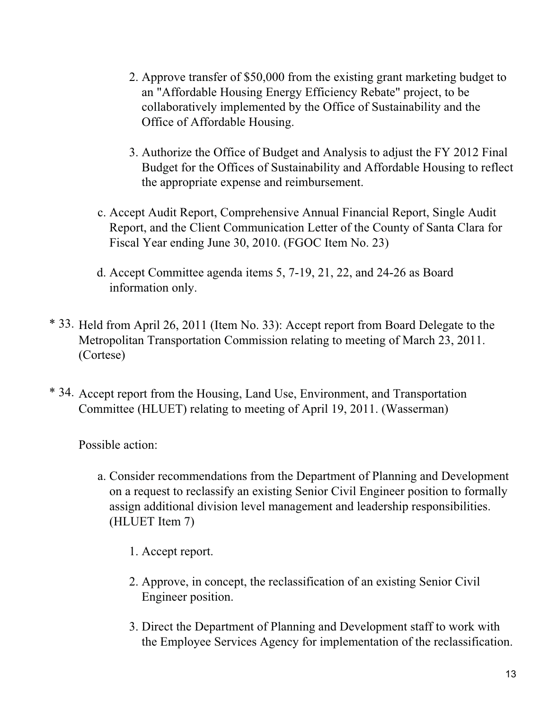- 2. Approve transfer of \$50,000 from the existing grant marketing budget to an "Affordable Housing Energy Efficiency Rebate" project, to be collaboratively implemented by the Office of Sustainability and the Office of Affordable Housing.
- Authorize the Office of Budget and Analysis to adjust the FY 2012 Final 3. Budget for the Offices of Sustainability and Affordable Housing to reflect the appropriate expense and reimbursement.
- c. Accept Audit Report, Comprehensive Annual Financial Report, Single Audit Report, and the Client Communication Letter of the County of Santa Clara for Fiscal Year ending June 30, 2010. (FGOC Item No. 23)
- Accept Committee agenda items 5, 7-19, 21, 22, and 24-26 as Board d. information only.
- \* 33. Held from April 26, 2011 (Item No. 33): Accept report from Board Delegate to the Metropolitan Transportation Commission relating to meeting of March 23, 2011. (Cortese)
- \* 34. Accept report from the Housing, Land Use, Environment, and Transportation Committee (HLUET) relating to meeting of April 19, 2011. (Wasserman)

- Consider recommendations from the Department of Planning and Development a. on a request to reclassify an existing Senior Civil Engineer position to formally assign additional division level management and leadership responsibilities. (HLUET Item 7)
	- 1. Accept report.
	- 2. Approve, in concept, the reclassification of an existing Senior Civil Engineer position.
	- 3. Direct the Department of Planning and Development staff to work with the Employee Services Agency for implementation of the reclassification.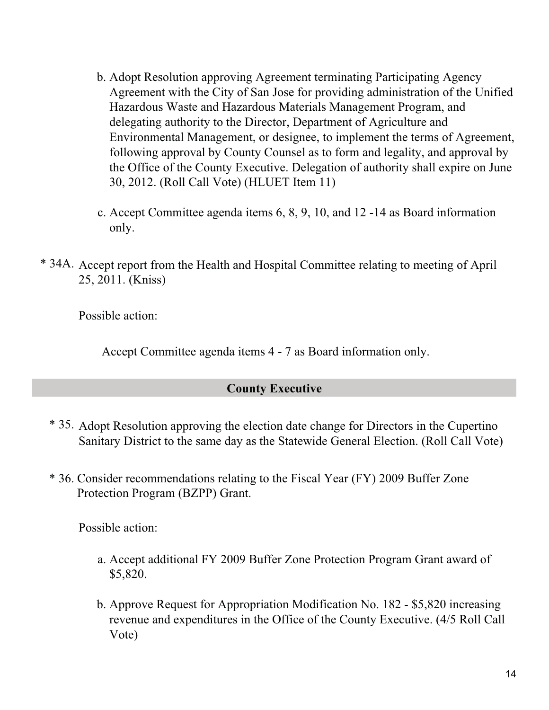- b. Adopt Resolution approving Agreement terminating Participating Agency Agreement with the City of San Jose for providing administration of the Unified Hazardous Waste and Hazardous Materials Management Program, and delegating authority to the Director, Department of Agriculture and Environmental Management, or designee, to implement the terms of Agreement, following approval by County Counsel as to form and legality, and approval by the Office of the County Executive. Delegation of authority shall expire on June 30, 2012. (Roll Call Vote) (HLUET Item 11)
- Accept Committee agenda items 6, 8, 9, 10, and 12 -14 as Board information c. only.
- \* 34A. Accept report from the Health and Hospital Committee relating to meeting of April 25, 2011. (Kniss)

. Accept Committee agenda items 4 - 7 as Board information only.

# **County Executive**

- \* 35. Adopt Resolution approving the election date change for Directors in the Cupertino Sanitary District to the same day as the Statewide General Election. (Roll Call Vote)
- \* 36. Consider recommendations relating to the Fiscal Year (FY) 2009 Buffer Zone Protection Program (BZPP) Grant.

- a. Accept additional FY 2009 Buffer Zone Protection Program Grant award of \$5,820.
- b. Approve Request for Appropriation Modification No. 182 \$5,820 increasing revenue and expenditures in the Office of the County Executive. (4/5 Roll Call Vote)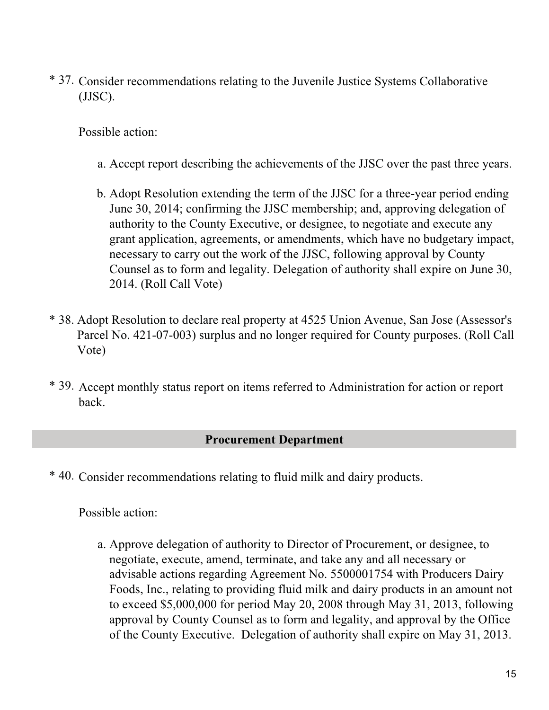\* 37. Consider recommendations relating to the Juvenile Justice Systems Collaborative (JJSC).

Possible action:

- a. Accept report describing the achievements of the JJSC over the past three years.
- Adopt Resolution extending the term of the JJSC for a three-year period ending b. June 30, 2014; confirming the JJSC membership; and, approving delegation of authority to the County Executive, or designee, to negotiate and execute any grant application, agreements, or amendments, which have no budgetary impact, necessary to carry out the work of the JJSC, following approval by County Counsel as to form and legality. Delegation of authority shall expire on June 30, 2014. (Roll Call Vote)
- \* 38. Adopt Resolution to declare real property at 4525 Union Avenue, San Jose (Assessor's Parcel No. 421-07-003) surplus and no longer required for County purposes. (Roll Call Vote)
- \* 39. Accept monthly status report on items referred to Administration for action or report back.

# **Procurement Department**

\* 40. Consider recommendations relating to fluid milk and dairy products.

Possible action:

a. Approve delegation of authority to Director of Procurement, or designee, to negotiate, execute, amend, terminate, and take any and all necessary or advisable actions regarding Agreement No. 5500001754 with Producers Dairy Foods, Inc., relating to providing fluid milk and dairy products in an amount not to exceed \$5,000,000 for period May 20, 2008 through May 31, 2013, following approval by County Counsel as to form and legality, and approval by the Office of the County Executive. Delegation of authority shall expire on May 31, 2013.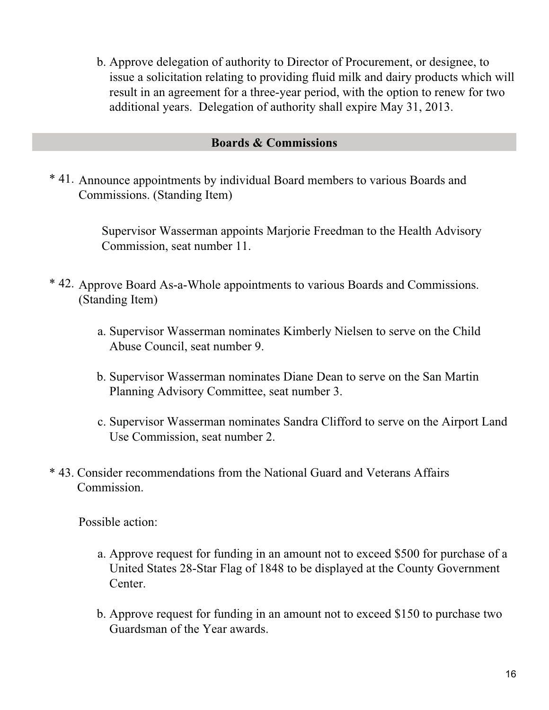b. Approve delegation of authority to Director of Procurement, or designee, to issue a solicitation relating to providing fluid milk and dairy products which will result in an agreement for a three-year period, with the option to renew for two additional years. Delegation of authority shall expire May 31, 2013.

#### **Boards & Commissions**

\* 41. Announce appointments by individual Board members to various Boards and Commissions. (Standing Item)

> . Supervisor Wasserman appoints Marjorie Freedman to the Health Advisory Commission, seat number 11.

- \* 42. Approve Board As-a-Whole appointments to various Boards and Commissions. (Standing Item)
	- a. Supervisor Wasserman nominates Kimberly Nielsen to serve on the Child Abuse Council, seat number 9.
	- b. Supervisor Wasserman nominates Diane Dean to serve on the San Martin Planning Advisory Committee, seat number 3.
	- c. Supervisor Wasserman nominates Sandra Clifford to serve on the Airport Land Use Commission, seat number 2.
- \* 43. Consider recommendations from the National Guard and Veterans Affairs Commission.

- a. Approve request for funding in an amount not to exceed \$500 for purchase of a United States 28-Star Flag of 1848 to be displayed at the County Government Center.
- b. Approve request for funding in an amount not to exceed \$150 to purchase two Guardsman of the Year awards.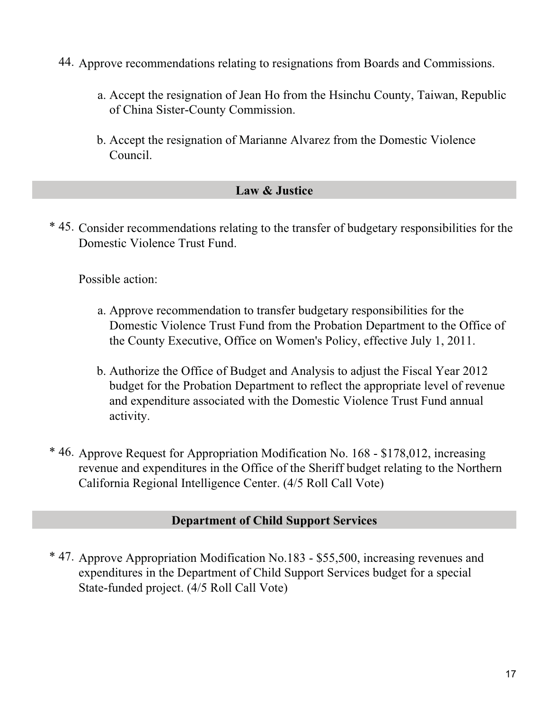- 44. Approve recommendations relating to resignations from Boards and Commissions.
	- Accept the resignation of Jean Ho from the Hsinchu County, Taiwan, Republic a. of China Sister-County Commission.
	- b. Accept the resignation of Marianne Alvarez from the Domestic Violence Council.

# **Law & Justice**

\* 45. Consider recommendations relating to the transfer of budgetary responsibilities for the Domestic Violence Trust Fund.

Possible action:

- a. Approve recommendation to transfer budgetary responsibilities for the Domestic Violence Trust Fund from the Probation Department to the Office of the County Executive, Office on Women's Policy, effective July 1, 2011.
- Authorize the Office of Budget and Analysis to adjust the Fiscal Year 2012 b. budget for the Probation Department to reflect the appropriate level of revenue and expenditure associated with the Domestic Violence Trust Fund annual activity.
- \* 46. Approve Request for Appropriation Modification No. 168 \$178,012, increasing revenue and expenditures in the Office of the Sheriff budget relating to the Northern California Regional Intelligence Center. (4/5 Roll Call Vote)

# **Department of Child Support Services**

\* 47. Approve Appropriation Modification No.183 - \$55,500, increasing revenues and expenditures in the Department of Child Support Services budget for a special State-funded project. (4/5 Roll Call Vote)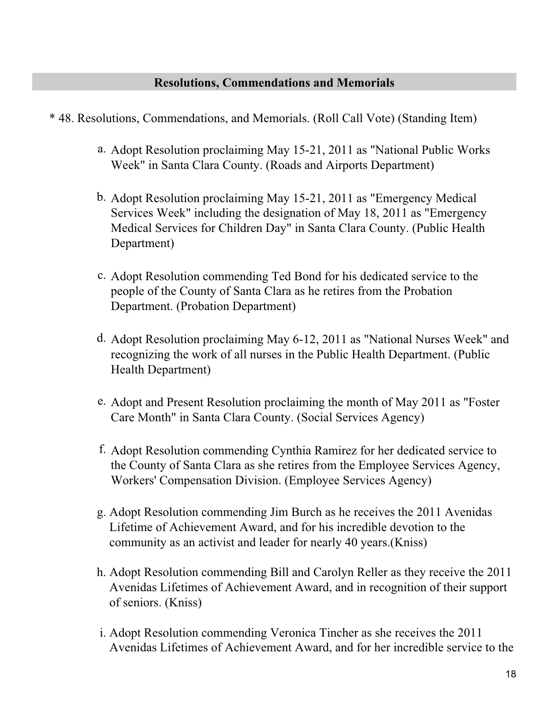# **Resolutions, Commendations and Memorials**

- \* 48. Resolutions, Commendations, and Memorials. (Roll Call Vote) (Standing Item)
	- a. Adopt Resolution proclaiming May 15-21, 2011 as "National Public Works Week" in Santa Clara County. (Roads and Airports Department)
	- b. Adopt Resolution proclaiming May 15-21, 2011 as "Emergency Medical Services Week" including the designation of May 18, 2011 as "Emergency Medical Services for Children Day" in Santa Clara County. (Public Health Department)
	- c. Adopt Resolution commending Ted Bond for his dedicated service to the people of the County of Santa Clara as he retires from the Probation Department. (Probation Department)
	- d. Adopt Resolution proclaiming May 6-12, 2011 as "National Nurses Week" and recognizing the work of all nurses in the Public Health Department. (Public Health Department)
	- e. Adopt and Present Resolution proclaiming the month of May 2011 as "Foster Care Month" in Santa Clara County. (Social Services Agency)
	- f. Adopt Resolution commending Cynthia Ramirez for her dedicated service to the County of Santa Clara as she retires from the Employee Services Agency, Workers' Compensation Division. (Employee Services Agency)
	- Adopt Resolution commending Jim Burch as he receives the 2011 Avenidas g. Lifetime of Achievement Award, and for his incredible devotion to the community as an activist and leader for nearly 40 years.(Kniss)
	- Adopt Resolution commending Bill and Carolyn Reller as they receive the 2011 h. Avenidas Lifetimes of Achievement Award, and in recognition of their support of seniors. (Kniss)
	- i. Adopt Resolution commending Veronica Tincher as she receives the 2011 Avenidas Lifetimes of Achievement Award, and for her incredible service to the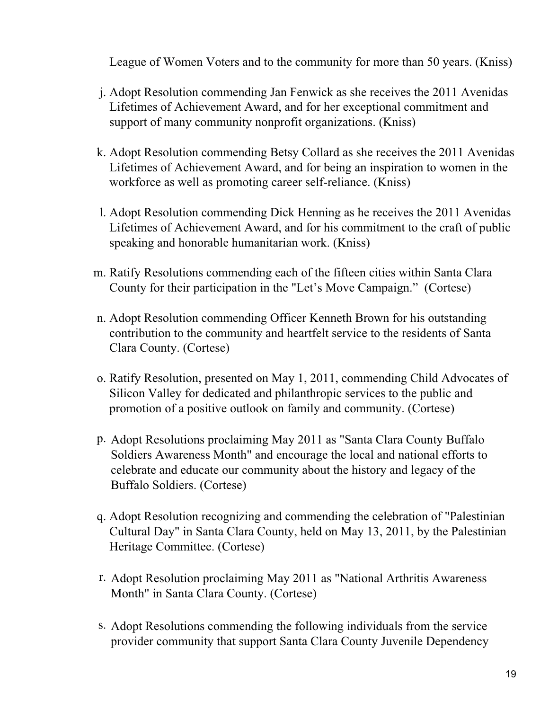League of Women Voters and to the community for more than 50 years. (Kniss)

- Adopt Resolution commending Jan Fenwick as she receives the 2011 Avenidas j. Lifetimes of Achievement Award, and for her exceptional commitment and support of many community nonprofit organizations. (Kniss)
- k. Adopt Resolution commending Betsy Collard as she receives the 2011 Avenidas Lifetimes of Achievement Award, and for being an inspiration to women in the workforce as well as promoting career self-reliance. (Kniss)
- Adopt Resolution commending Dick Henning as he receives the 2011 Avenidas l. Lifetimes of Achievement Award, and for his commitment to the craft of public speaking and honorable humanitarian work. (Kniss)
- m. Ratify Resolutions commending each of the fifteen cities within Santa Clara County for their participation in the "Let's Move Campaign." (Cortese)
- Adopt Resolution commending Officer Kenneth Brown for his outstanding n. contribution to the community and heartfelt service to the residents of Santa Clara County. (Cortese)
- o. Ratify Resolution, presented on May 1, 2011, commending Child Advocates of Silicon Valley for dedicated and philanthropic services to the public and promotion of a positive outlook on family and community. (Cortese)
- Adopt Resolutions proclaiming May 2011 as "Santa Clara County Buffalo p. Soldiers Awareness Month" and encourage the local and national efforts to celebrate and educate our community about the history and legacy of the Buffalo Soldiers. (Cortese)
- Adopt Resolution recognizing and commending the celebration of "Palestinian q. Cultural Day" in Santa Clara County, held on May 13, 2011, by the Palestinian Heritage Committee. (Cortese)
- r. Adopt Resolution proclaiming May 2011 as "National Arthritis Awareness Month" in Santa Clara County. (Cortese)
- s. Adopt Resolutions commending the following individuals from the service provider community that support Santa Clara County Juvenile Dependency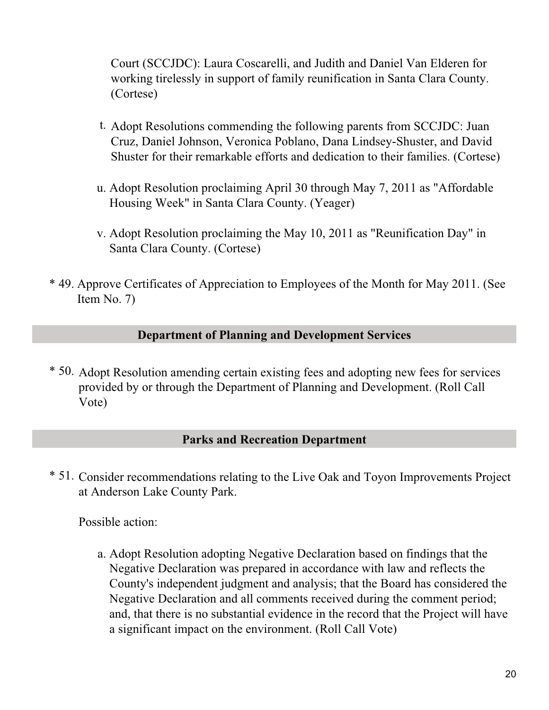Court (SCCJDC): Laura Coscarelli, and Judith and Daniel Van Elderen for working tirelessly in support of family reunification in Santa Clara County. (Cortese)

- t. Adopt Resolutions commending the following parents from SCCJDC: Juan Cruz, Daniel Johnson, Veronica Poblano, Dana Lindsey-Shuster, and David Shuster for their remarkable efforts and dedication to their families. (Cortese)
- Adopt Resolution proclaiming April 30 through May 7, 2011 as "Affordable u. Housing Week" in Santa Clara County. (Yeager)
- v. Adopt Resolution proclaiming the May 10, 2011 as "Reunification Day" in Santa Clara County. (Cortese)
- \* 49. Approve Certificates of Appreciation to Employees of the Month for May 2011. (See Item No. 7)

# **Department of Planning and Development Services**

\* 50. Adopt Resolution amending certain existing fees and adopting new fees for services provided by or through the Department of Planning and Development. (Roll Call Vote)

#### **Parks and Recreation Department**

\* 51. Consider recommendations relating to the Live Oak and Toyon Improvements Project at Anderson Lake County Park.

Possible action:

Adopt Resolution adopting Negative Declaration based on findings that the a. Negative Declaration was prepared in accordance with law and reflects the County's independent judgment and analysis; that the Board has considered the Negative Declaration and all comments received during the comment period; and, that there is no substantial evidence in the record that the Project will have a significant impact on the environment. (Roll Call Vote)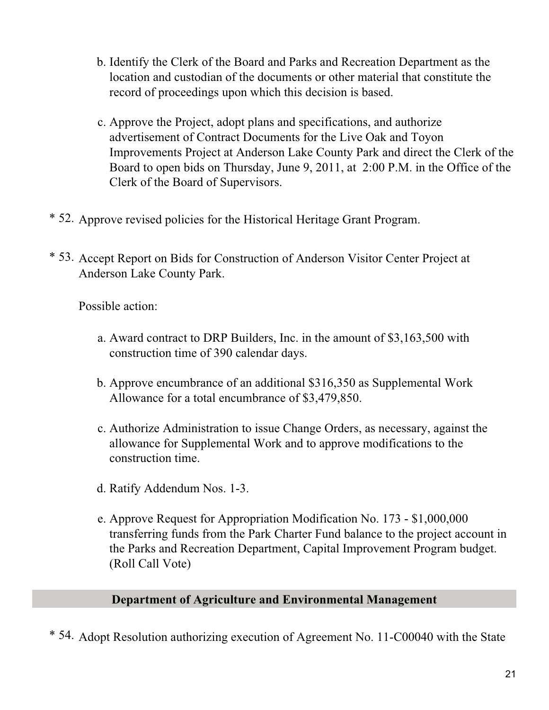- b. Identify the Clerk of the Board and Parks and Recreation Department as the location and custodian of the documents or other material that constitute the record of proceedings upon which this decision is based.
- Approve the Project, adopt plans and specifications, and authorize c. advertisement of Contract Documents for the Live Oak and Toyon Improvements Project at Anderson Lake County Park and direct the Clerk of the Board to open bids on Thursday, June 9, 2011, at 2:00 P.M. in the Office of the Clerk of the Board of Supervisors.
- \* 52. Approve revised policies for the Historical Heritage Grant Program.
- \* 53. Accept Report on Bids for Construction of Anderson Visitor Center Project at Anderson Lake County Park.

- a. Award contract to DRP Builders, Inc. in the amount of \$3,163,500 with construction time of 390 calendar days.
- b. Approve encumbrance of an additional \$316,350 as Supplemental Work Allowance for a total encumbrance of \$3,479,850.
- Authorize Administration to issue Change Orders, as necessary, against the c. allowance for Supplemental Work and to approve modifications to the construction time.
- d. Ratify Addendum Nos. 1-3.
- e. Approve Request for Appropriation Modification No. 173 \$1,000,000 transferring funds from the Park Charter Fund balance to the project account in the Parks and Recreation Department, Capital Improvement Program budget. (Roll Call Vote)

# **Department of Agriculture and Environmental Management**

\* 54. Adopt Resolution authorizing execution of Agreement No. 11-C00040 with the State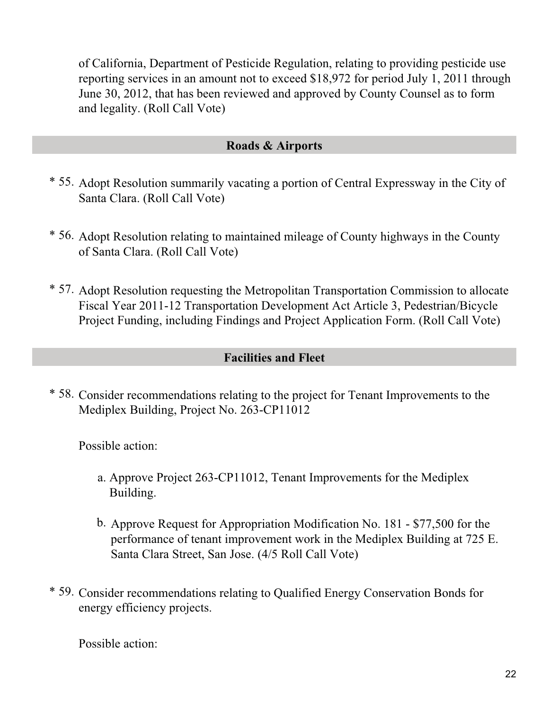of California, Department of Pesticide Regulation, relating to providing pesticide use reporting services in an amount not to exceed \$18,972 for period July 1, 2011 through June 30, 2012, that has been reviewed and approved by County Counsel as to form and legality. (Roll Call Vote)

# **Roads & Airports**

- \* 55. Adopt Resolution summarily vacating a portion of Central Expressway in the City of Santa Clara. (Roll Call Vote)
- \* 56. Adopt Resolution relating to maintained mileage of County highways in the County of Santa Clara. (Roll Call Vote)
- \* 57. Adopt Resolution requesting the Metropolitan Transportation Commission to allocate Fiscal Year 2011-12 Transportation Development Act Article 3, Pedestrian/Bicycle Project Funding, including Findings and Project Application Form. (Roll Call Vote)

# **Facilities and Fleet**

\* 58. Consider recommendations relating to the project for Tenant Improvements to the Mediplex Building, Project No. 263-CP11012

Possible action:

- a. Approve Project 263-CP11012, Tenant Improvements for the Mediplex Building.
- b. Approve Request for Appropriation Modification No. 181 \$77,500 for the performance of tenant improvement work in the Mediplex Building at 725 E. Santa Clara Street, San Jose. (4/5 Roll Call Vote)
- \* 59. Consider recommendations relating to Qualified Energy Conservation Bonds for energy efficiency projects.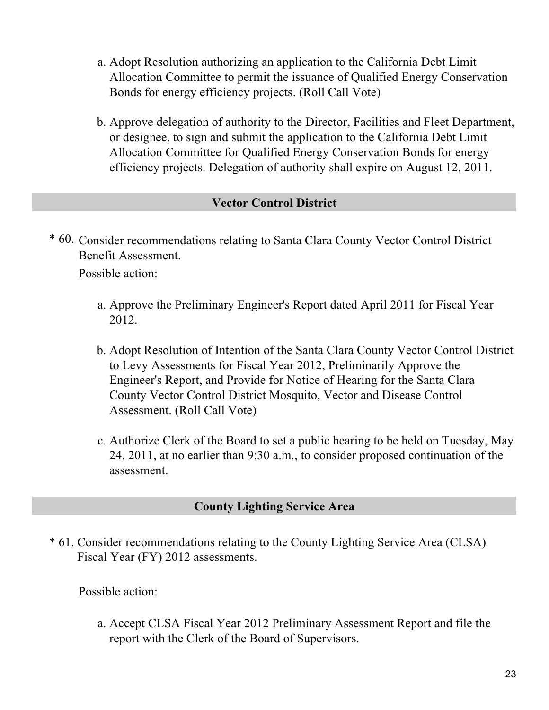- Adopt Resolution authorizing an application to the California Debt Limit a. Allocation Committee to permit the issuance of Qualified Energy Conservation Bonds for energy efficiency projects. (Roll Call Vote)
- b. Approve delegation of authority to the Director, Facilities and Fleet Department, or designee, to sign and submit the application to the California Debt Limit Allocation Committee for Qualified Energy Conservation Bonds for energy efficiency projects. Delegation of authority shall expire on August 12, 2011.

# **Vector Control District**

\* 60. Consider recommendations relating to Santa Clara County Vector Control District Benefit Assessment.

Possible action:

- a. Approve the Preliminary Engineer's Report dated April 2011 for Fiscal Year 2012.
- Adopt Resolution of Intention of the Santa Clara County Vector Control District b. to Levy Assessments for Fiscal Year 2012, Preliminarily Approve the Engineer's Report, and Provide for Notice of Hearing for the Santa Clara County Vector Control District Mosquito, Vector and Disease Control Assessment. (Roll Call Vote)
- Authorize Clerk of the Board to set a public hearing to be held on Tuesday, May c. 24, 2011, at no earlier than 9:30 a.m., to consider proposed continuation of the assessment.

# **County Lighting Service Area**

\* 61. Consider recommendations relating to the County Lighting Service Area (CLSA) Fiscal Year (FY) 2012 assessments.

Possible action:

Accept CLSA Fiscal Year 2012 Preliminary Assessment Report and file the a. report with the Clerk of the Board of Supervisors.